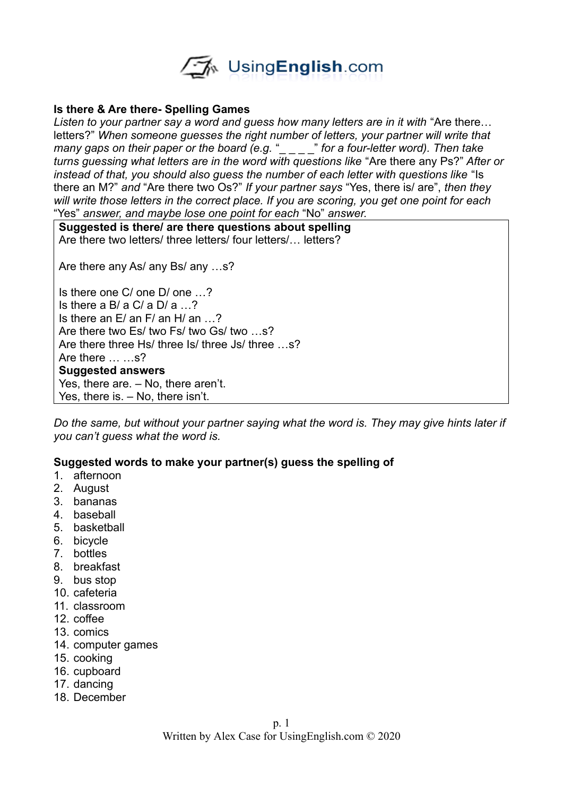

## **Is there & Are there- Spelling Games**

Listen to your partner say a word and quess how many letters are in it with "Are there... letters?" *When someone guesses the right number of letters, your partner will write that many gaps on their paper or the board (e.g.* "\_\_\_\_" for a four-letter word). Then take *turns guessing what letters are in the word with questions like* "Are there any Ps?" *After or instead of that, you should also quess the number of each letter with questions like* "Is there an M?" *and* "Are there two Os?" *If your partner says* "Yes, there is/ are", *then they will write those letters in the correct place. If you are scoring, you get one point for each*  "Yes" *answer, and maybe lose one point for each* "No" *answer.* 

**Suggested is there/ are there questions about spelling**

Are there two letters/ three letters/ four letters/… letters?

Are there any As/ any Bs/ any …s?

Is there one C/ one D/ one …? Is there a B/ a C/ a  $D/a$   $\ldots$ ? Is there an E/ an F/ an H/ an …? Are there two Es/ two Fs/ two Gs/ two ...s? Are there three Hs/ three Is/ three Js/ three …s? Are there … …s? **Suggested answers** Yes, there are. – No, there aren't. Yes, there is. – No, there isn't.

*Do the same, but without your partner saying what the word is. They may give hints later if you can't guess what the word is.* 

## **Suggested words to make your partner(s) guess the spelling of**

- 1. afternoon
- 2. August
- 3. bananas
- 4. baseball
- 5. basketball
- 6. bicycle
- 7. bottles
- 8. breakfast
- 9. bus stop
- 10. cafeteria
- 11. classroom
- 12. coffee
- 13. comics
- 14. computer games
- 15. cooking
- 16. cupboard
- 17. dancing
- 18. December